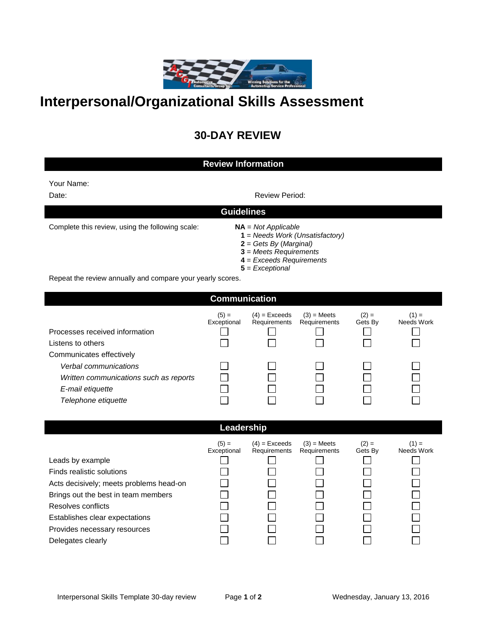

## **Interpersonal/Organizational Skills Assessment**

## **30-DAY REVIEW**

## **Review Information** Your Name: Date: **Note:** Review Period: **Review Period: Review Period: Guidelines** Complete this review, using the following scale: **NA** = *Not Applicable* **1** = *Needs Work (Unsatisfactory)* **2** = *Gets By* (*Marginal)* **3** = *Meets Requirements* **4** = *Exceeds Requirements* **5** = *Exceptional* Repeat the review annually and compare your yearly scores.

**Communication**

|                                        | $(5) =$<br>Exceptional | $(4)$ = Exceeds<br>Requirements | $(3)$ = Meets<br>Requirements | $(2) =$<br>Gets By | $(1) =$<br>Needs Work |
|----------------------------------------|------------------------|---------------------------------|-------------------------------|--------------------|-----------------------|
| Processes received information         |                        |                                 |                               |                    |                       |
| Listens to others                      |                        |                                 |                               |                    |                       |
| Communicates effectively               |                        |                                 |                               |                    |                       |
| Verbal communications                  |                        |                                 |                               |                    |                       |
| Written communications such as reports |                        |                                 |                               |                    |                       |
| E-mail etiquette                       |                        |                                 |                               |                    |                       |
| Telephone etiquette                    |                        |                                 |                               |                    |                       |

## **Leadership**

| Leads by example                        | $(5) =$<br>Exceptional | $(4)$ = Exceeds<br>Requirements | $(3)$ = Meets<br>Requirements | $(2) =$<br>Gets By | $(1) =$<br>Needs Work |
|-----------------------------------------|------------------------|---------------------------------|-------------------------------|--------------------|-----------------------|
| Finds realistic solutions               |                        |                                 |                               |                    |                       |
| Acts decisively; meets problems head-on |                        |                                 |                               |                    |                       |
| Brings out the best in team members     |                        |                                 |                               |                    |                       |
| Resolves conflicts                      |                        |                                 |                               |                    |                       |
| Establishes clear expectations          |                        |                                 |                               |                    |                       |
| Provides necessary resources            |                        |                                 |                               |                    |                       |
| Delegates clearly                       |                        |                                 |                               |                    |                       |